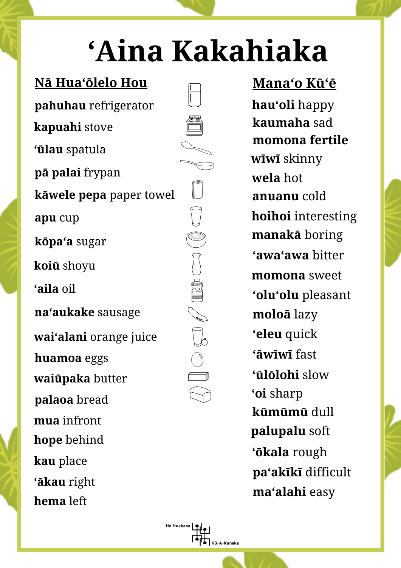## **ʻAina Kakahiaka**

 $\begin{tabular}{|c|c|} \hline \quad \quad & \quad \quad \\ \hline \quad \quad & \quad \quad \\ \hline \end{tabular}$ 

He Huahana

.<br>Kū-A-Kanaka

## **Nā Huaʻōlelo Hou**

**pahuhau** refrigerator **kapuahi** stove **waiūpaka** butter **huamoa** eggs **waiʻalani** orange juice **ʻaila** oil **koiū** shoyu **naʻaukake** sausage **kōpaʻa** sugar **pā palai** frypan **apu** cup **mua** infront **ʻūlau** spatula **kāwele pepa** paper towel **hope** behind **palaoa** bread **kau** place **ʻākau** right **hema** left

## **Manaʻo Kūʻē**

**kaumaha** sad **wela** hot **ʻawaʻawa** bitter **momona** sweet **ʻoluʻolu** pleasant **hoihoi** interesting **manakā** boring **wīwī** skinny **moloā** lazy **anuanu** cold **hauʻoli** happy **momona fertile ʻeleu** quick **ʻāwīwī** fast **ʻoi** sharp **ʻūlōlohi** slow **kūmūmū** dull **palupalu** soft **ʻōkala** rough **paʻakīkī** difficult **maʻalahi** easy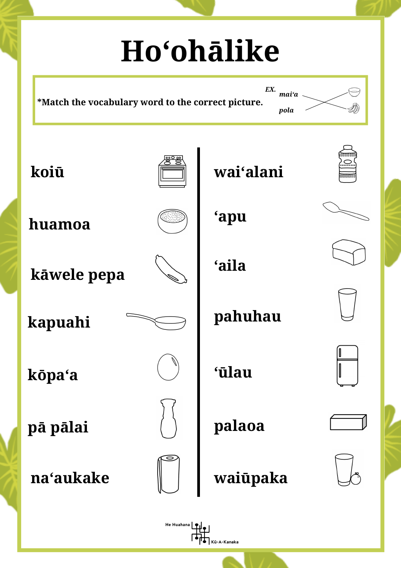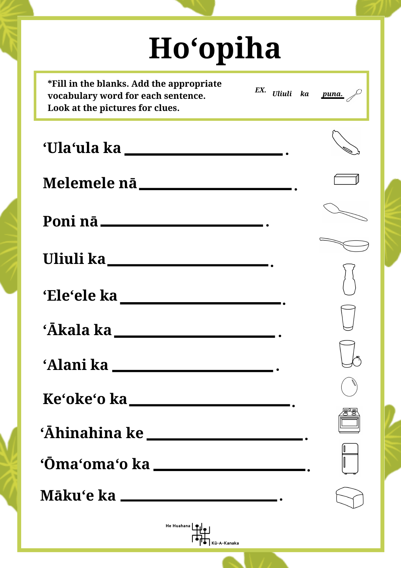| <b>Ho'opiha</b>                                                                                                   |            |                            |  |  |  |  |
|-------------------------------------------------------------------------------------------------------------------|------------|----------------------------|--|--|--|--|
| *Fill in the blanks. Add the appropriate<br>vocabulary word for each sentence.<br>Look at the pictures for clues. |            | EX. Uliuli ka <u>puna.</u> |  |  |  |  |
| 'Ula'ula ka ka ka ka ka ka ka kasa                                                                                |            |                            |  |  |  |  |
|                                                                                                                   |            |                            |  |  |  |  |
| Poni nā ______                                                                                                    |            |                            |  |  |  |  |
| Uliuli ka_                                                                                                        |            |                            |  |  |  |  |
| 'Ele'ele ka                                                                                                       |            |                            |  |  |  |  |
|                                                                                                                   |            |                            |  |  |  |  |
|                                                                                                                   |            |                            |  |  |  |  |
|                                                                                                                   |            |                            |  |  |  |  |
| 'Āhinahina ke ___________________________                                                                         |            |                            |  |  |  |  |
| 'Ōma'oma'o ka _______________________.                                                                            |            |                            |  |  |  |  |
| Māku'e ka _______________________________.                                                                        |            |                            |  |  |  |  |
|                                                                                                                   | He Huahana |                            |  |  |  |  |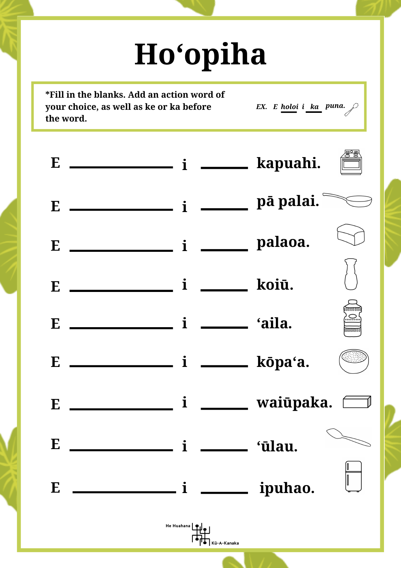## **Hoʻopiha**

**\*Fill in the blanks. Add an action word of your choice, as well as ke or ka before the word.**

*puna. EX. E holoi i ka*

|          | E $\frac{1}{\sqrt{1-\frac{1}{\sqrt{1-\frac{1}{\sqrt{1-\frac{1}{\sqrt{1-\frac{1}{\sqrt{1-\frac{1}{\sqrt{1-\frac{1}{\sqrt{1-\frac{1}{\sqrt{1-\frac{1}{\sqrt{1-\frac{1}{\sqrt{1-\frac{1}{\sqrt{1-\frac{1}{\sqrt{1-\frac{1}{\sqrt{1-\frac{1}{\sqrt{1-\frac{1}{\sqrt{1-\frac{1}{\sqrt{1-\frac{1}{\sqrt{1-\frac{1}{\sqrt{1-\frac{1}{\sqrt{1-\frac{1}{\sqrt{1-\frac{1}{\sqrt{1-\frac{1}{\sqrt{1-\frac{1}{\sqrt{1-\frac{1}{\sqrt{1-\frac$ |            |                        |         |                               |
|----------|-----------------------------------------------------------------------------------------------------------------------------------------------------------------------------------------------------------------------------------------------------------------------------------------------------------------------------------------------------------------------------------------------------------------------------------|------------|------------------------|---------|-------------------------------|
|          |                                                                                                                                                                                                                                                                                                                                                                                                                                   |            |                        |         |                               |
|          |                                                                                                                                                                                                                                                                                                                                                                                                                                   |            |                        |         |                               |
|          |                                                                                                                                                                                                                                                                                                                                                                                                                                   |            |                        |         | 10000000<br>) ( )<br>00000000 |
|          |                                                                                                                                                                                                                                                                                                                                                                                                                                   |            |                        |         |                               |
|          |                                                                                                                                                                                                                                                                                                                                                                                                                                   |            |                        |         |                               |
| $\bf{E}$ |                                                                                                                                                                                                                                                                                                                                                                                                                                   |            | <i>i</i> ______ 'ūlau. |         |                               |
| E        |                                                                                                                                                                                                                                                                                                                                                                                                                                   |            |                        | ipuhao. |                               |
|          |                                                                                                                                                                                                                                                                                                                                                                                                                                   | He Huahana | Kū-A-Kanaka            |         |                               |